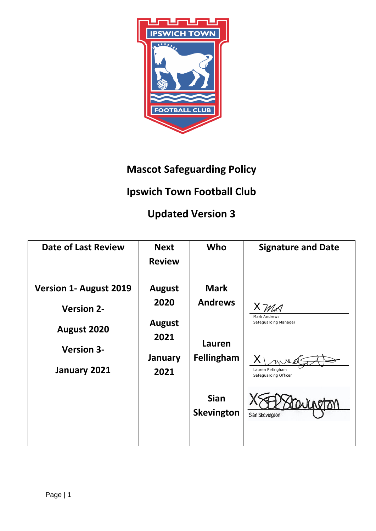

## **Mascot Safeguarding Policy**

## **Ipswich Town Football Club**

## **Updated Version 3**

| <b>Date of Last Review</b>                                        | <b>Next</b><br><b>Review</b>                                      | Who                                                                                       | <b>Signature and Date</b>                                    |
|-------------------------------------------------------------------|-------------------------------------------------------------------|-------------------------------------------------------------------------------------------|--------------------------------------------------------------|
| <b>Version 1- August 2019</b><br><b>Version 2-</b><br>August 2020 | <b>August</b><br>2020<br><b>August</b><br>2021<br>January<br>2021 | <b>Mark</b><br><b>Andrews</b><br>Lauren<br>Fellingham<br><b>Sian</b><br><b>Skevington</b> | Mark Andrews<br>Safeguarding Manager                         |
| <b>Version 3-</b><br>January 2021                                 |                                                                   |                                                                                           | Lauren Fellingham<br>Safeguarding Officer<br>Sian Skevington |
|                                                                   |                                                                   |                                                                                           |                                                              |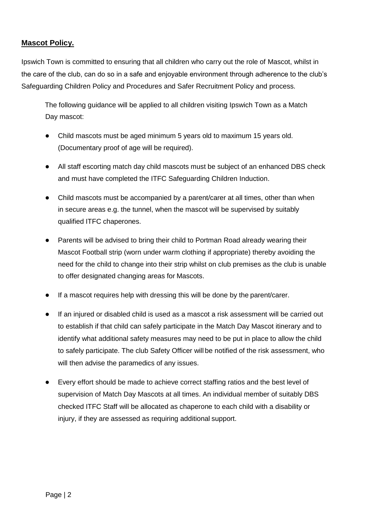## **Mascot Policy.**

Ipswich Town is committed to ensuring that all children who carry out the role of Mascot, whilst in the care of the club, can do so in a safe and enjoyable environment through adherence to the club's Safeguarding Children Policy and Procedures and Safer Recruitment Policy and process.

The following guidance will be applied to all children visiting Ipswich Town as a Match Day mascot:

- Child mascots must be aged minimum 5 years old to maximum 15 years old. (Documentary proof of age will be required).
- All staff escorting match day child mascots must be subject of an enhanced DBS check and must have completed the ITFC Safeguarding Children Induction.
- Child mascots must be accompanied by a parent/carer at all times, other than when in secure areas e.g. the tunnel, when the mascot will be supervised by suitably qualified ITFC chaperones.
- Parents will be advised to bring their child to Portman Road already wearing their Mascot Football strip (worn under warm clothing if appropriate) thereby avoiding the need for the child to change into their strip whilst on club premises as the club is unable to offer designated changing areas for Mascots.
- If a mascot requires help with dressing this will be done by the parent/carer.
- If an injured or disabled child is used as a mascot a risk assessment will be carried out to establish if that child can safely participate in the Match Day Mascot itinerary and to identify what additional safety measures may need to be put in place to allow the child to safely participate. The club Safety Officer will be notified of the risk assessment, who will then advise the paramedics of any issues.
- Every effort should be made to achieve correct staffing ratios and the best level of supervision of Match Day Mascots at all times. An individual member of suitably DBS checked ITFC Staff will be allocated as chaperone to each child with a disability or injury, if they are assessed as requiring additional support.